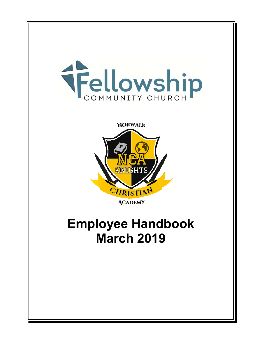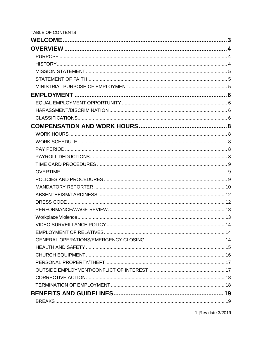| <b>TABLE OF CONTENTS</b> |  |
|--------------------------|--|
|                          |  |
|                          |  |
|                          |  |
|                          |  |
|                          |  |
|                          |  |
|                          |  |
|                          |  |
|                          |  |
|                          |  |
|                          |  |
|                          |  |
|                          |  |
|                          |  |
|                          |  |
|                          |  |
|                          |  |
|                          |  |
|                          |  |
|                          |  |
|                          |  |
|                          |  |
|                          |  |
|                          |  |
|                          |  |
|                          |  |
|                          |  |
|                          |  |
|                          |  |
|                          |  |
|                          |  |
|                          |  |
|                          |  |
|                          |  |
|                          |  |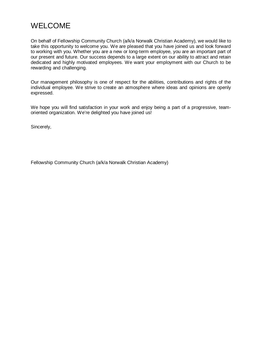# <span id="page-3-0"></span>WELCOME

On behalf of Fellowship Community Church (a/k/a Norwalk Christian Academy), we would like to take this opportunity to welcome you. We are pleased that you have joined us and look forward to working with you. Whether you are a new or long-term employee, you are an important part of our present and future. Our success depends to a large extent on our ability to attract and retain dedicated and highly motivated employees. We want your employment with our Church to be rewarding and challenging.

Our management philosophy is one of respect for the abilities, contributions and rights of the individual employee. We strive to create an atmosphere where ideas and opinions are openly expressed.

We hope you will find satisfaction in your work and enjoy being a part of a progressive, teamoriented organization. We're delighted you have joined us!

Sincerely,

Fellowship Community Church (a/k/a Norwalk Christian Academy)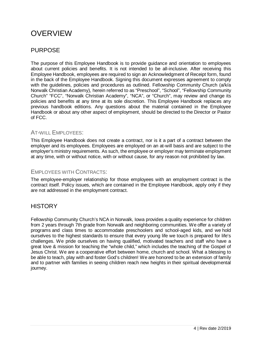# <span id="page-4-0"></span>**OVERVIEW**

# <span id="page-4-1"></span>PURPOSE

The purpose of this Employee Handbook is to provide guidance and orientation to employees about current policies and benefits. It is not intended to be all-inclusive. After receiving this Employee Handbook, employees are required to sign an Acknowledgment of Receipt form, found in the back of the Employee Handbook. Signing this document expresses agreement to comply with the quidelines, policies and procedures as outlined. Fellowship Community Church (a/k/a Norwalk Christian Academy), herein referred to as "Preschool", "School", "Fellowship Community Church" "FCC", "Norwalk Christian Academy", "NCA", or "Church", may review and change its policies and benefits at any time at its sole discretion. This Employee Handbook replaces any previous handbook editions. Any questions about the material contained in the Employee Handbook or about any other aspect of employment, should be directed to the Director or Pastor of FCC.

#### AT-WILL EMPLOYEES:

This Employee Handbook does not create a contract, nor is it a part of a contract between the employer and its employees. Employees are employed on an at-will basis and are subject to the employer's ministry requirements. As such, the employee or employer may terminate employment at any time, with or without notice, with or without cause, for any reason not prohibited by law.

#### EMPLOYEES WITH CONTRACTS:

The employee-employer relationship for those employees with an employment contract is the contract itself. Policy issues, which are contained in the Employee Handbook, apply only if they are not addressed in the employment contract.

## <span id="page-4-2"></span>**HISTORY**

Fellowship Community Church's NCA in Norwalk, Iowa provides a quality experience for children from 2 years through 7th grade from Norwalk and neighboring communities. We offer a variety of programs and class times to accommodate preschoolers and school-aged kids, and we hold ourselves to the highest standards to ensure that every young life we touch is prepared for life's challenges. We pride ourselves on having qualified, motivated teachers and staff who have a great love & mission for teaching the "whole child," which includes the teaching of the Gospel of Jesus Christ. We are a cooperative effort between home, church and school. What a blessing to be able to teach, play with and foster God's children! We are honored to be an extension of family and to partner with families in seeing children reach new heights in their spiritual developmental journey.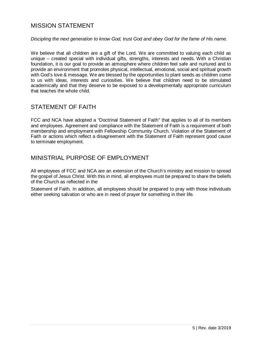## <span id="page-5-0"></span>MISSION STATEMENT

#### *Discipling the next generation to know God, trust God and obey God for the fame of His name.*

We believe that all children are a gift of the Lord. We are committed to valuing each child as unique – created special with individual gifts, strengths, interests and needs. With a Christian foundation, it is our goal to provide an atmosphere where children feel safe and nurtured and to provide an environment that promotes physical, intellectual, emotional, social and spiritual growth with God's love & message. We are blessed by the opportunities to plant seeds as children come to us with ideas, interests and curiosities. We believe that children need to be stimulated academically and that they deserve to be exposed to a developmentally appropriate curriculum that teaches the whole child.

## <span id="page-5-1"></span>STATEMENT OF FAITH

FCC and NCA have adopted a "Doctrinal Statement of Faith" that applies to all of its members and employees. Agreement and compliance with the Statement of Faith is a requirement of both membership and employment with Fellowship Community Church. Violation of the Statement of Faith or actions which reflect a disagreement with the Statement of Faith represent good cause to terminate employment.

### <span id="page-5-2"></span>MINISTRIAL PURPOSE OF EMPLOYMENT

All employees of FCC and NCA are an extension of the Church's ministry and mission to spread the gospel of Jesus Christ. With this in mind, all employees must be prepared to share the beliefs of the Church as reflected in the

Statement of Faith. In addition, all employees should be prepared to pray with those individuals either seeking salvation or who are in need of prayer for something in their life.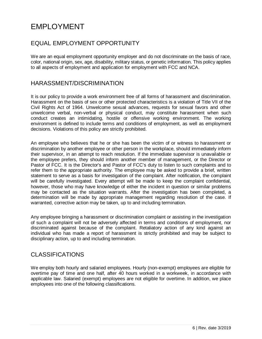# <span id="page-6-0"></span>EMPLOYMENT

# <span id="page-6-1"></span>EQUAL EMPLOYMENT OPPORTUNITY

We are an equal employment opportunity employer and do not discriminate on the basis of race, color, national origin, sex, age, disability, military status, or genetic information. This policy applies to all aspects of employment and application for employment with FCC and NCA.

#### <span id="page-6-2"></span>HARASSMENT/DISCRIMINATION

It is our policy to provide a work environment free of all forms of harassment and discrimination. Harassment on the basis of sex or other protected characteristics is a violation of Title VII of the Civil Rights Act of 1964. Unwelcome sexual advances, requests for sexual favors and other unwelcome verbal, non-verbal or physical conduct, may constitute harassment when such conduct creates an intimidating, hostile or offensive working environment. The working environment is defined to include terms and conditions of employment, as well as employment decisions. Violations of this policy are strictly prohibited.

An employee who believes that he or she has been the victim of or witness to harassment or discrimination by another employee or other person in the workplace, should immediately inform their supervisor, in an attempt to reach resolution. If the immediate supervisor is unavailable or the employee prefers, they should inform another member of management, or the Director or Pastor of FCC. It is the Director's and Pastor of FCC's duty to listen to such complaints and to refer them to the appropriate authority. The employee may be asked to provide a brief, written statement to serve as a basis for investigation of the complaint. After notification, the complaint will be carefully investigated. Every attempt will be made to keep the complaint confidential, however, those who may have knowledge of either the incident in question or similar problems may be contacted as the situation warrants. After the investigation has been completed, a determination will be made by appropriate management regarding resolution of the case. If warranted, corrective action may be taken, up to and including termination.

Any employee bringing a harassment or discrimination complaint or assisting in the investigation of such a complaint will not be adversely affected in terms and conditions of employment, nor discriminated against because of the complaint. Retaliatory action of any kind against an individual who has made a report of harassment is strictly prohibited and may be subject to disciplinary action, up to and including termination.

## <span id="page-6-3"></span>CLASSIFICATIONS

We employ both hourly and salaried employees. Hourly (non-exempt) employees are eligible for overtime pay of time and one half, after 40 hours worked in a workweek, in accordance with applicable law. Salaried (exempt) employees are not eligible for overtime. In addition, we place employees into one of the following classifications.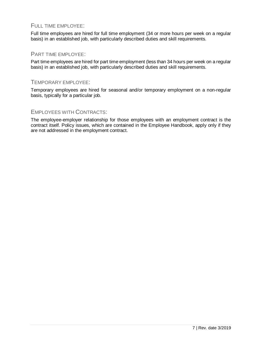#### FULL TIME EMPLOYEE:

Full time employees are hired for full time employment (34 or more hours per week on a regular basis) in an established job, with particularly described duties and skill requirements.

#### PART TIME EMPLOYEE:

Part time employees are hired for part time employment (less than 34 hours per week on a regular basis) in an established job, with particularly described duties and skill requirements.

#### TEMPORARY EMPLOYEE:

Temporary employees are hired for seasonal and/or temporary employment on a non-regular basis, typically for a particular job.

#### EMPLOYEES WITH CONTRACTS:

The employee-employer relationship for those employees with an employment contract is the contract itself. Policy issues, which are contained in the Employee Handbook, apply only if they are not addressed in the employment contract.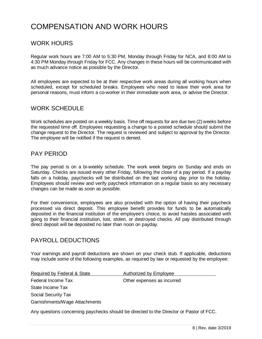# <span id="page-8-0"></span>COMPENSATION AND WORK HOURS

## <span id="page-8-1"></span>WORK HOURS

Regular work hours are 7:00 AM to 5:30 PM, Monday through Friday for NCA, and 8:00 AM to 4:30 PM Monday through Friday for FCC. Any changes in these hours will be communicated with as much advance notice as possible by the Director.

All employees are expected to be at their respective work areas during all working hours when scheduled, except for scheduled breaks. Employees who need to leave their work area for personal reasons, must inform a co-worker in their immediate work area, or advise the Director.

### <span id="page-8-2"></span>WORK SCHEDULE

Work schedules are posted on a weekly basis. Time off requests for are due two (2) weeks before the requested time off. Employees requesting a change to a posted schedule should submit the change request to the Director. The request is reviewed and subject to approval by the Director. The employee will be notified if the request is denied.

### <span id="page-8-3"></span>PAY PERIOD

The pay period is on a bi-weekly schedule. The work week begins on Sunday and ends on Saturday. Checks are issued every other Friday, following the close of a pay period. If a payday falls on a holiday, paychecks will be distributed on the last working day prior to the holiday. Employees should review and verify paycheck information on a regular basis so any necessary changes can be made as soon as possible.

For their convenience, employees are also provided with the option of having their paycheck processed via direct deposit. This employee benefit provides for funds to be automatically deposited in the financial institution of the employee's choice, to avoid hassles associated with going to their financial institution, lost, stolen, or destroyed checks. All pay distributed through direct deposit will be deposited no later than noon on payday.

### <span id="page-8-4"></span>PAYROLL DEDUCTIONS

Your earnings and payroll deductions are shown on your check stub. If applicable, deductions may include some of the following examples, as required by law or requested by the employee:

| Required by Federal & State   | <b>Authorized by Employee</b> |
|-------------------------------|-------------------------------|
| Federal Income Tax            | Other expenses as incurred    |
| State Income Tax              |                               |
| Social Security Tax           |                               |
| Garnishments/Wage Attachments |                               |

Any questions concerning paychecks should be directed to the Director or Pastor of FCC.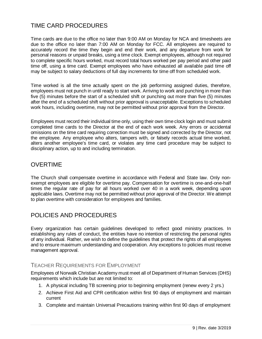# <span id="page-9-0"></span>TIME CARD PROCEDURES

Time cards are due to the office no later than 9:00 AM on Monday for NCA and timesheets are due to the office no later than 7:00 AM on Monday for FCC. All employees are required to accurately record the time they begin and end their work, and any departure from work for personal reasons or unpaid breaks, using a time clock. Exempt employees, although not required to complete specific hours worked, must record total hours worked per pay period and other paid time off, using a time card. Exempt employees who have exhausted all available paid time off may be subject to salary deductions of full day increments for time off from scheduled work.

Time worked is all the time actually spent on the job performing assigned duties, therefore, employees must not punch in until ready to start work. Arriving to work and punching in more than five (5) minutes before the start of a scheduled shift or punching out more than five (5) minutes after the end of a scheduled shift without prior approval is unacceptable. Exceptions to scheduled work hours, including overtime, may not be permitted without prior approval from the Director.

Employees must record their individual time only, using their own time clock login and must submit completed time cards to the Director at the end of each work week. Any errors or accidental omissions on the time card requiring correction must be signed and corrected by the Director, not the employee. Any employee who alters, tampers with, or falsely records actual time worked, alters another employee's time card, or violates any time card procedure may be subject to disciplinary action, up to and including termination.

## <span id="page-9-1"></span>OVERTIME

The Church shall compensate overtime in accordance with Federal and State law. Only nonexempt employees are eligible for overtime pay. Compensation for overtime is one-and-one-half times the regular rate of pay for all hours worked over 40 in a work week, depending upon applicable laws. Overtime may not be permitted without prior approval of the Director. We attempt to plan overtime with consideration for employees and families.

# <span id="page-9-2"></span>POLICIES AND PROCEDURES

Every organization has certain guidelines developed to reflect good ministry practices. In establishing any rules of conduct, the entities have no intention of restricting the personal rights of any individual. Rather, we wish to define the guidelines that protect the rights of all employees and to ensure maximum understanding and cooperation. Any exceptions to policies must receive management approval.

### TEACHER REQUIREMENTS FOR EMPLOYMENT

Employees of Norwalk Christian Academy must meet all of Department of Human Services (DHS) requirements which include but are not limited to:

- 1. A physical including TB screening prior to beginning employment (renew every 2 yrs.)
- 2. Achieve First Aid and CPR certification within first 90 days of employment and maintain current
- 3. Complete and maintain Universal Precautions training within first 90 days of employment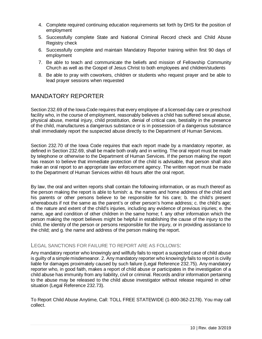- 4. Complete required continuing education requirements set forth by DHS for the position of employment
- 5. Successfully complete State and National Criminal Record check and Child Abuse Registry check
- 6. Successfully complete and maintain Mandatory Reporter training within first 90 days of employment
- 7. Be able to teach and communicate the beliefs and mission of Fellowship Community Church as well as the Gospel of Jesus Christ to both employees and children/students
- 8. Be able to pray with coworkers, children or students who request prayer and be able to lead prayer sessions when requested

# <span id="page-10-0"></span>MANDATORY REPORTER

Section 232.69 of the Iowa Code requires that every employee of a licensed day care or preschool facility who, in the course of employment, reasonably believes a child has suffered sexual abuse, physical abuse, mental injury, child prostitution, denial of critical care, bestiality in the presence of the child, manufactures a dangerous substance or is in possession of a dangerous substance shall immediately report the suspected abuse directly to the Department of Human Services.

Section 232.70 of the Iowa Code requires that each report made by a mandatory reporter, as defined in Section 232.69, shall be made both orally and in writing. The oral report must be made by telephone or otherwise to the Department of Human Services. If the person making the report has reason to believe that immediate protection of the child is advisable, that person shall also make an oral report to an appropriate law enforcement agency. The written report must be made to the Department of Human Services within 48 hours after the oral report.

By law, the oral and written reports shall contain the following information, or as much thereof as the person making the report is able to furnish: a. the names and home address of the child and his parents or other persons believe to be responsible for his care; b. the child's present whereabouts if not the same as the parent's or other person's home address; c. the child's age; d. the nature and extent of the child's injuries, including any evidence of previous injuries; e. the name, age and condition of other children in the same home; f. any other information which the person making the report believes might be helpful in establishing the cause of the injury to the child, the identity of the person or persons responsible for the injury, or in providing assistance to the child; and g. the name and address of the person making the report.

#### LEGAL SANCTIONS FOR FAILURE TO REPORT ARE AS FOLLOWS:

Any mandatory reporter who knowingly and willfully fails to report a suspected case of child abuse is guilty of a simple misdemeanor. 2. Any mandatory reporter who knowingly fails to report is civilly liable for damages proximately caused by such failure (Legal Reference 232.75). Any mandatory reporter who, in good faith, makes a report of child abuse or participates in the investigation of a child abuse has immunity from any liability, civil or criminal. Records and/or information pertaining to the abuse may be released to the child abuse investigator without release required in other situation (Legal Reference 232.73).

To Report Child Abuse Anytime, Call: TOLL FREE STATEWIDE (1-800-362-2178). You may call collect.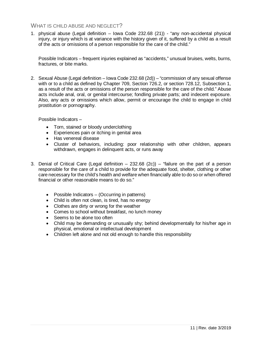#### WHAT IS CHILD ABUSE AND NEGLECT?

1. physical abuse (Legal definition – Iowa Code 232.68 (21)) - "any non-accidental physical injury, or injury which is at variance with the history given of it, suffered by a child as a result of the acts or omissions of a person responsible for the care of the child."

Possible Indicators – frequent injuries explained as "accidents," unusual bruises, welts, burns, fractures, or bite marks.

2. Sexual Abuse (Legal definition – Iowa Code 232.68 (2d)) – "commission of any sexual offense with or to a child as defined by Chapter 709, Section 726.2, or section 728.12, Subsection 1, as a result of the acts or omissions of the person responsible for the care of the child." Abuse acts include anal, oral, or genital intercourse; fondling private parts; and indecent exposure. Also, any acts or omissions which allow, permit or encourage the child to engage in child prostitution or pornography.

Possible Indicators –

- Torn, stained or bloody underclothing
- Experiences pain or itching in genital area
- Has venereal disease
- Cluster of behaviors, including: poor relationship with other children, appears withdrawn, engages in delinquent acts, or runs away
- 3. Denial of Critical Care (Legal definition 232.68 (2c)) "failure on the part of a person responsible for the care of a child to provide for the adequate food, shelter, clothing or other care necessary for the child's health and welfare when financially able to do so or when offered financial or other reasonable means to do so."
	- Possible Indicators (Occurring in patterns)
	- Child is often not clean, is tired, has no energy
	- Clothes are dirty or wrong for the weather
	- Comes to school without breakfast, no lunch money
	- Seems to be alone too often
	- Child may be demanding or unusually shy; behind developmentally for his/her age in physical, emotional or intellectual development
	- Children left alone and not old enough to handle this responsibility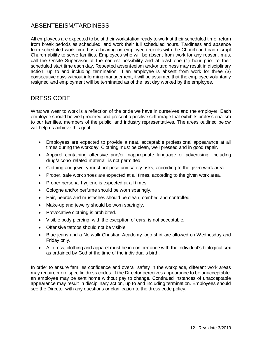# <span id="page-12-0"></span>ABSENTEEISM/TARDINESS

All employees are expected to be at their workstation ready to work at their scheduled time, return from break periods as scheduled, and work their full scheduled hours. Tardiness and absence from scheduled work time has a bearing on employee records with the Church and can disrupt Church ability to serve families. Employees who will be absent from work for any reason, must call the Onsite Supervisor at the earliest possibility and at least one (1) hour prior to their scheduled start time each day. Repeated absenteeism and/or tardiness may result in disciplinary action, up to and including termination. If an employee is absent from work for three (3) consecutive days without informing management, it will be assumed that the employee voluntarily resigned and employment will be terminated as of the last day worked by the employee.

### <span id="page-12-1"></span>DRESS CODE

What we wear to work is a reflection of the pride we have in ourselves and the employer. Each employee should be well groomed and present a positive self-image that exhibits professionalism to our families, members of the public, and industry representatives. The areas outlined below will help us achieve this goal.

- Employees are expected to provide a neat, acceptable professional appearance at all times during the workday. Clothing must be clean, well pressed and in good repair.
- Apparel containing offensive and/or inappropriate language or advertising, including drug/alcohol related material, is not permitted.
- Clothing and jewelry must not pose any safety risks, according to the given work area.
- Proper, safe work shoes are expected at all times, according to the given work area.
- Proper personal hygiene is expected at all times.
- Cologne and/or perfume should be worn sparingly.
- Hair, beards and mustaches should be clean, combed and controlled.
- Make-up and jewelry should be worn sparingly.
- Provocative clothing is prohibited.
- Visible body piercing, with the exception of ears, is not acceptable.
- Offensive tattoos should not be visible.
- Blue jeans and a Norwalk Christian Academy logo shirt are allowed on Wednesday and Friday only.
- All dress, clothing and apparel must be in conformance with the individual's biological sex as ordained by God at the time of the individual's birth.

In order to ensure families confidence and overall safety in the workplace, different work areas may require more specific dress codes. If the Director perceives appearance to be unacceptable, an employee may be sent home without pay to change. Continued instances of unacceptable appearance may result in disciplinary action, up to and including termination. Employees should see the Director with any questions or clarification to the dress code policy.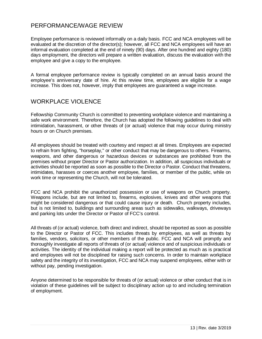# <span id="page-13-0"></span>PERFORMANCE/WAGE REVIEW

Employee performance is reviewed informally on a daily basis. FCC and NCA employees will be evaluated at the discretion of the director(s); however, all FCC and NCA employees will have an informal evaluation completed at the end of ninety (90) days. After one hundred and eighty (180) days employment, the directors will prepare a written evaluation, discuss the evaluation with the employee and give a copy to the employee.

A formal employee performance review is typically completed on an annual basis around the employee's anniversary date of hire. At this review time, employees are eligible for a wage increase. This does not, however, imply that employees are guaranteed a wage increase.

# <span id="page-13-1"></span>WORKPLACE VIOLENCE

Fellowship Community Church is committed to preventing workplace violence and maintaining a safe work environment. Therefore, the Church has adopted the following guidelines to deal with intimidation, harassment, or other threats of (or actual) violence that may occur during ministry hours or on Church premises.

All employees should be treated with courtesy and respect at all times. Employees are expected to refrain from fighting, "horseplay," or other conduct that may be dangerous to others. Firearms, weapons, and other dangerous or hazardous devices or substances are prohibited from the premises without proper Director or Pastor authorization. In addition, all suspicious individuals or activities should be reported as soon as possible to the Director o Pastor. Conduct that threatens, intimidates, harasses or coerces another employee, families, or member of the public, while on work time or representing the Church, will not be tolerated.

FCC and NCA prohibit the unauthorized possession or use of weapons on Church property. Weapons include, but are not limited to, firearms, explosives, knives and other weapons that might be considered dangerous or that could cause injury or death. Church property includes, but is not limited to, buildings and surrounding areas such as sidewalks, walkways, driveways and parking lots under the Director or Pastor of FCC's control.

All threats of (or actual) violence, both direct and indirect, should be reported as soon as possible to the Director or Pastor of FCC. This includes threats by employees, as well as threats by families, vendors, solicitors, or other members of the public. FCC and NCA will promptly and thoroughly investigate all reports of threats of (or actual) violence and of suspicious individuals or activities. The identity of the individual making a report will be protected as much as is practical and employees will not be disciplined for raising such concerns. In order to maintain workplace safety and the integrity of its investigation, FCC and NCA may suspend employees, either with or without pay, pending investigation.

Anyone determined to be responsible for threats of (or actual) violence or other conduct that is in violation of these guidelines will be subject to disciplinary action up to and including termination of employment.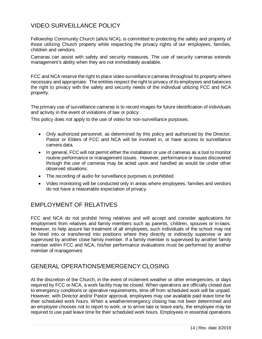# <span id="page-14-0"></span>VIDEO SURVEILLANCE POLICY

Fellowship Community Church (a/k/a NCA), is committed to protecting the safety and property of those utilizing Church property while respecting the privacy rights of our employees, families, children and vendors.

Cameras can assist with safety and security measures. The use of security cameras extends management's ability when they are not immediately available.

FCC and NCA reserve the right to place video surveillance cameras throughout its property where necessary and appropriate. The entities respect the right to privacy of its employees and balances the right to privacy with the safety and security needs of the individual utilizing FCC and NCA property.

The primary use of surveillance cameras is to record images for future identification of individuals and activity in the event of violations of law or policy.

This policy does not apply to the use of video for non-surveillance purposes.

- Only authorized personnel, as determined by this policy and authorized by the Director, Pastor or Elders of FCC and NCA will be involved in, or have access to surveillance camera data.
- In general, FCC will not permit either the installation or use of cameras as a tool to monitor routine performance or management issues. However, performance or issues discovered through the use of cameras may be acted upon and handled as would be under other observed situations.
- The recording of audio for surveillance purposes is prohibited.
- Video monitoring will be conducted only in areas where employees, families and vendors do not have a reasonable expectation of privacy.

## <span id="page-14-1"></span>EMPLOYMENT OF RELATIVES

FCC and NCA do not prohibit hiring relatives and will accept and consider applications for employment from relatives and family members such as parents, children, spouses or in-laws. However, to help assure fair treatment of all employees, such individuals of the school may not be hired into or transferred into positions where they directly or indirectly supervise or are supervised by another close family member. If a family member is supervised by another family member within FCC and NCA, his/her performance evaluations must be performed by another member of management.

## <span id="page-14-2"></span>GENERAL OPERATIONS/EMERGENCY CLOSING

At the discretion of the Church, in the event of inclement weather or other emergencies, or days required by FCC or NCA, a work facility may be closed. When operations are officially closed due to emergency conditions or operative requirements, time off from scheduled work will be unpaid. However, with Director and/or Pastor approval, employees may use available paid leave time for their scheduled work hours. When a weather/emergency closing has not been determined and an employee chooses not to report to work, or to arrive late or leave early, the employee may be required to use paid leave time for their scheduled work hours. Employees in essential operations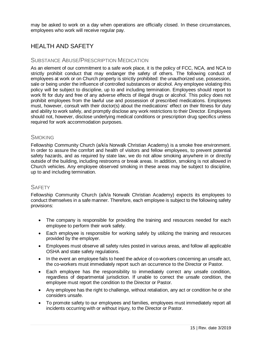may be asked to work on a day when operations are officially closed. In these circumstances, employees who work will receive regular pay.

# <span id="page-15-0"></span>HEALTH AND SAFETY

#### SUBSTANCE ABUSE/PRESCRIPTION MEDICATION

As an element of our commitment to a safe work place, it is the policy of FCC, NCA, and NCA to strictly prohibit conduct that may endanger the safety of others. The following conduct of employees at work or on Church property is strictly prohibited: the unauthorized use, possession, sale or being under the influence of controlled substances or alcohol. Any employee violating this policy will be subject to discipline, up to and including termination. Employees should report to work fit for duty and free of any adverse effects of illegal drugs or alcohol. This policy does not prohibit employees from the lawful use and possession of prescribed medications. Employees must, however, consult with their doctor(s) about the medications' effect on their fitness for duty and ability to work safely, and promptly disclose any work restrictions to their Director. Employees should not, however, disclose underlying medical conditions or prescription drug specifics unless required for work accommodation purposes.

#### **SMOKING**

Fellowship Community Church (a/k/a Norwalk Christian Academy) is a smoke free environment. In order to assure the comfort and health of visitors and fellow employees, to prevent potential safety hazards, and as required by state law, we do not allow smoking anywhere in or directly outside of the building, including restrooms or break areas. In addition, smoking is not allowed in Church vehicles. Any employee observed smoking in these areas may be subject to discipline, up to and including termination.

#### **SAFFTY**

Fellowship Community Church (a/k/a Norwalk Christian Academy) expects its employees to conduct themselves in a safe manner. Therefore, each employee is subject to the following safety provisions:

- The company is responsible for providing the training and resources needed for each employee to perform their work safely.
- Each employee is responsible for working safely by utilizing the training and resources provided by the employer.
- Employees must observe all safety rules posted in various areas, and follow all applicable OSHA and state safety regulations.
- In the event an employee fails to heed the advice of co-workers concerning an unsafe act, the co-workers must immediately report such an occurrence to the Director or Pastor.
- Each employee has the responsibility to immediately correct any unsafe condition, regardless of departmental jurisdiction. If unable to correct the unsafe condition, the employee must report the condition to the Director or Pastor.
- Any employee has the right to challenge, without retaliation, any act or condition he or she considers unsafe.
- To promote safety to our employees and families, employees must immediately report all incidents occurring with or without injury, to the Director or Pastor.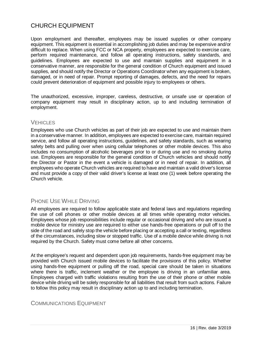# <span id="page-16-0"></span>CHURCH EQUIPMENT

Upon employment and thereafter, employees may be issued supplies or other company equipment. This equipment is essential in accomplishing job duties and may be expensive and/or difficult to replace. When using FCC or NCA property, employees are expected to exercise care, perform required maintenance, and follow all operating instructions, safety standards, and guidelines. Employees are expected to use and maintain supplies and equipment in a conservative manner, are responsible for the general condition of Church equipment and issued supplies, and should notify the Director or Operations Coordinator when any equipment is broken, damaged, or in need of repair. Prompt reporting of damages, defects, and the need for repairs could prevent deterioration of equipment and possible injury to employees or others.

The unauthorized, excessive, improper, careless, destructive, or unsafe use or operation of company equipment may result in disciplinary action, up to and including termination of employment.

#### **VEHICLES**

Employees who use Church vehicles as part of their job are expected to use and maintain them in a conservative manner. In addition, employees are expected to exercise care, maintain required service, and follow all operating instructions, guidelines, and safety standards, such as wearing safety belts and pulling over when using cellular telephones or other mobile devices. This also includes no consumption of alcoholic beverages prior to or during use and no smoking during use. Employees are responsible for the general condition of Church vehicles and should notify the Director or Pastor in the event a vehicle is damaged or in need of repair. In addition, all employees who operate Church vehicles are required to have and maintain a valid driver's license and must provide a copy of their valid driver's license at least one (1) week before operating the Church vehicle.

### PHONE USE WHILE DRIVING

All employees are required to follow applicable state and federal laws and regulations regarding the use of cell phones or other mobile devices at all times while operating motor vehicles. Employees whose job responsibilities include regular or occasional driving and who are issued a mobile device for ministry use are required to either use hands-free operations or pull off to the side of the road and safely stop the vehicle before placing or accepting a call or texting, regardless of the circumstances, including slow or stopped traffic. Use of a mobile device while driving is not required by the Church. Safety must come before all other concerns.

At the employee's request and dependent upon job requirements, hands-free equipment may be provided with Church issued mobile devices to facilitate the provisions of this policy. Whether using hands-free equipment or pulling off the road, special care should be taken in situations where there is traffic, inclement weather or the employee is driving in an unfamiliar area. Employees charged with traffic violations resulting from the use of their phone or other mobile device while driving will be solely responsible for all liabilities that result from such actions. Failure to follow this policy may result in disciplinary action up to and including termination.

#### COMMUNICATIONS EQUIPMENT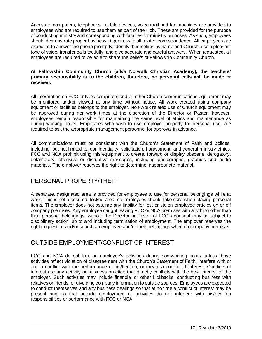Access to computers, telephones, mobile devices, voice mail and fax machines are provided to employees who are required to use them as part of their job. These are provided for the purpose of conducting ministry and corresponding with families for ministry purposes. As such, employees should demonstrate proper business etiquette with all related correspondence. All employees are expected to answer the phone promptly, identify themselves by name and Church, use a pleasant tone of voice, transfer calls tactfully, and give accurate and careful answers. When requested, all employees are required to be able to share the beliefs of Fellowship Community Church.

#### **At Fellowship Community Church (a/k/a Norwalk Christian Academy), the teachers' primary responsibility is to the children, therefore, no personal calls will be made or received.**

All information on FCC or NCA computers and all other Church communications equipment may be monitored and/or viewed at any time without notice. All work created using company equipment or facilities belongs to the employer. Non-work related use of Church equipment may be approved during non-work times at the discretion of the Director or Pastor; however, employees remain responsible for maintaining the same level of ethics and maintenance as during working hours. Employees who wish to use employer property for personal use, are required to ask the appropriate management personnel for approval in advance.

All communications must be consistent with the Church's Statement of Faith and polices, including, but not limited to, confidentiality, solicitation, harassment, and general ministry ethics. FCC and NCA prohibit using this equipment to create, forward or display obscene, derogatory, defamatory, offensive or disruptive messages, including photographs, graphics and audio materials. The employer reserves the right to determine inappropriate material.

## <span id="page-17-0"></span>PERSONAL PROPERTY/THEFT

A separate, designated area is provided for employees to use for personal belongings while at work. This is not a secured, locked area, so employees should take care when placing personal items. The employer does not assume any liability for lost or stolen employee articles on or off company premises. Any employee caught leaving FCC or NCA premises with anything other than their personal belongings, without the Director or Pastor of FCC's consent may be subject to disciplinary action, up to and including termination of employment. The employer reserves the right to question and/or search an employee and/or their belongings when on company premises.

### <span id="page-17-1"></span>OUTSIDE EMPLOYMENT/CONFLICT OF INTEREST

FCC and NCA do not limit an employee's activities during non-working hours unless those activities reflect violation of disagreement with the Church's Statement of Faith, interfere with or are in conflict with the performance of his/her job, or create a conflict of interest. Conflicts of interest are any activity or business practice that directly conflicts with the best interest of the employer. Such activities may include financial or other kickbacks, conducting business with relatives or friends, or divulging company information to outside sources. Employees are expected to conduct themselves and any business dealings so that at no time a conflict of interest may be present and so that outside employment or activities do not interfere with his/her job responsibilities or performance with FCC or NCA.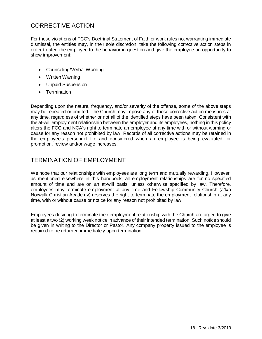# <span id="page-18-0"></span>CORRECTIVE ACTION

For those violations of FCC's Doctrinal Statement of Faith or work rules not warranting immediate dismissal, the entities may, in their sole discretion, take the following corrective action steps in order to alert the employee to the behavior in question and give the employee an opportunity to show improvement:

- Counseling/Verbal Warning
- Written Warning
- Unpaid Suspension
- Termination

Depending upon the nature, frequency, and/or severity of the offense, some of the above steps may be repeated or omitted. The Church may impose any of these corrective action measures at any time, regardless of whether or not all of the identified steps have been taken. Consistent with the at-will employment relationship between the employer and its employees, nothing in this policy alters the FCC and NCA's right to terminate an employee at any time with or without warning or cause for any reason not prohibited by law. Records of all corrective actions may be retained in the employee's personnel file and considered when an employee is being evaluated for promotion, review and/or wage increases.

### <span id="page-18-1"></span>TERMINATION OF EMPLOYMENT

We hope that our relationships with employees are long term and mutually rewarding. However, as mentioned elsewhere in this handbook, all employment relationships are for no specified amount of time and are on an at-will basis, unless otherwise specified by law. Therefore, employees may terminate employment at any time and Fellowship Community Church (a/k/a Norwalk Christian Academy) reserves the right to terminate the employment relationship at any time, with or without cause or notice for any reason not prohibited by law.

Employees desiring to terminate their employment relationship with the Church are urged to give at least a two (2) working week notice in advance of their intended termination. Such notice should be given in writing to the Director or Pastor. Any company property issued to the employee is required to be returned immediately upon termination.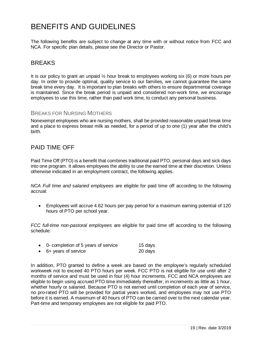# <span id="page-19-0"></span>BENEFITS AND GUIDELINES

The following benefits are subject to change at any time with or without notice from FCC and NCA. For specific plan details, please see the Director or Pastor.

#### <span id="page-19-1"></span>**BREAKS**

It is our policy to grant an unpaid  $\frac{1}{2}$  hour break to employees working six (6) or more hours per day. In order to provide optimal, quality service to our families, we cannot guarantee the same break time every day. It is important to plan breaks with others to ensure departmental coverage is maintained. Since the break period is unpaid and considered non-work time, we encourage employees to use this time, rather than paid work time, to conduct any personal business.

#### BREAKS FOR NURSING MOTHERS

Nonexempt employees who are nursing mothers, shall be provided reasonable unpaid break time and a place to express breast milk as needed, for a period of up to one (1) year after the child's birth.

### <span id="page-19-2"></span>PAID TIME OFF

Paid Time Off (PTO) is a benefit that combines traditional paid PTO, personal days and sick days into one program. It allows employees the ability to use the earned time at their discretion. Unless otherwise indicated in an employment contract, the following applies.

*NCA Full time and salaried employees* are eligible for paid time off according to the following accrual:

• Employees will accrue 4.62 hours per pay period for a maximum earning potential of 120 hours of PTO per school year.

*FCC full-time non-pastoral employees* are eligible for paid time off according to the following schedule:

| 0- completion of 5 years of service | 15 days |
|-------------------------------------|---------|
| 6+ years of service                 | 20 days |

In addition, PTO granted to define a week are based on the employee's regularly scheduled workweek not to exceed 40 PTO hours per week. FCC PTO is not eligible for use until after 2 months of service and must be used in four (4) hour increments. FCC and NCA employees are eligible to begin using accrued PTO time immediately thereafter, in increments as little as 1 hour, whether hourly or salaried. Because PTO is not earned until completion of each year of service, no pro-rated PTO will be provided for partial years worked, and employees may not use PTO before it is earned. A maximum of 40 hours of PTO can be carried over to the next calendar year. Part-time and temporary employees are not eligible for paid PTO.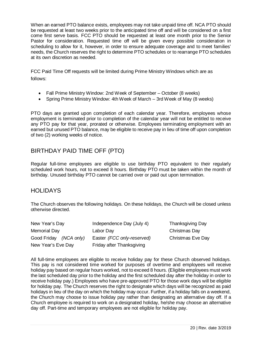When an earned PTO balance exists, employees may not take unpaid time off. NCA PTO should be requested at least two weeks prior to the anticipated time off and will be considered on a first come first serve basis. FCC PTO should be requested at least one month prior to the Senior Pastor for consideration. Requested time off will be given every possible consideration in scheduling to allow for it, however, in order to ensure adequate coverage and to meet families' needs, the Church reserves the right to determine PTO schedules or to rearrange PTO schedules at its own discretion as needed.

FCC Paid Time Off requests will be limited during Prime Ministry Windows which are as follows:

- Fall Prime Ministry Window: 2nd Week of September October (8 weeks)
- Spring Prime Ministry Window: 4th Week of March 3rd Week of May (8 weeks)

PTO days are granted upon completion of each calendar year. Therefore, employees whose employment is terminated prior to completion of the calendar year will not be entitled to receive any PTO pay for that year, prorated or otherwise. Employees terminating employment with an earned but unused PTO balance, may be eligible to receive pay in lieu of time off upon completion of two (2) working weeks of notice.

## <span id="page-20-0"></span>BIRTHDAY PAID TIME OFF (PTO)

Regular full-time employees are eligible to use birthday PTO equivalent to their regularly scheduled work hours, not to exceed 8 hours. Birthday PTO must be taken within the month of birthday. Unused birthday PTO cannot be carried over or paid out upon termination.

### <span id="page-20-1"></span>**HOLIDAYS**

The Church observes the following holidays. On these holidays, the Church will be closed unless otherwise directed.

| New Year's Day         | Independence Day (July 4)  | Than  |
|------------------------|----------------------------|-------|
| Memorial Day           | Labor Day                  | Chris |
| Good Friday (NCA only) | Easter (FCC only-reserved) | Chris |
| New Year's Eve Day     | Friday after Thanksgiving  |       |

ksgiving Day stmas Day **Stmas Eve Day** 

All full-time employees are eligible to receive holiday pay for these Church observed holidays. This pay is not considered time worked for purposes of overtime and employees will receive holiday pay based on regular hours worked, not to exceed 8 hours. (Eligible employees must work the last scheduled day prior to the holiday and the first scheduled day after the holiday in order to receive holiday pay.) Employees who have pre-approved PTO for those work days will be eligible for holiday pay. The Church reserves the right to designate which days will be recognized as paid holidays in lieu of the day on which the holiday may occur. Further, if a holiday falls on a weekend, the Church may choose to issue holiday pay rather than designating an alternative day off. If a Church employee is required to work on a designated holiday, he/she may choose an alternative day off. Part-time and temporary employees are not eligible for holiday pay.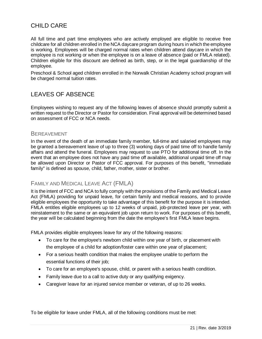# <span id="page-21-0"></span>CHILD CARE

All full time and part time employees who are actively employed are eligible to receive free childcare for all children enrolled in the NCA daycare program during hours in which the employee is working. Employees will be charged normal rates when children attend daycare in which the employee is not working or when the employee is on a leave of absence (paid or FMLA related). Children eligible for this discount are defined as birth, step, or in the legal guardianship of the employee.

Preschool & School aged children enrolled in the Norwalk Christian Academy school program will be charged normal tuition rates.

## <span id="page-21-1"></span>LEAVES OF ABSENCE

Employees wishing to request any of the following leaves of absence should promptly submit a written request to the Director or Pastor for consideration. Final approval will be determined based on assessment of FCC or NCA needs.

#### **BEREAVEMENT**

In the event of the death of an immediate family member, full-time and salaried employees may be granted a bereavement leave of up to three (3) working days of paid time off to handle family affairs and attend the funeral. Employees may request to use PTO for additional time off. In the event that an employee does not have any paid time off available, additional unpaid time off may be allowed upon Director or Pastor of FCC approval. For purposes of this benefit, "immediate family" is defined as spouse, child, father, mother, sister or brother.

#### FAMILY AND MEDICAL LEAVE ACT (FMLA)

It is the intent of FCC and NCA to fully comply with the provisions of the Family and Medical Leave Act (FMLA) providing for unpaid leave, for certain family and medical reasons, and to provide eligible employees the opportunity to take advantage of this benefit for the purpose it is intended. FMLA entitles eligible employees up to 12 weeks of unpaid, job-protected leave per year, with reinstatement to the same or an equivalent job upon return to work. For purposes of this benefit, the year will be calculated beginning from the date the employee's first FMLA leave begins.

FMLA provides eligible employees leave for any of the following reasons:

- To care for the employee's newborn child within one year of birth, or placement with the employee of a child for adoption/foster care within one year of placement;
- For a serious health condition that makes the employee unable to perform the essential functions of their job;
- To care for an employee's spouse, child, or parent with a serious health condition.
- Family leave due to a call to active duty or any qualifying exigency.
- Caregiver leave for an injured service member or veteran, of up to 26 weeks.

To be eligible for leave under FMLA, all of the following conditions must be met: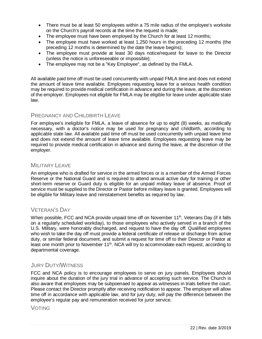- There must be at least 50 employees within a 75 mile radius of the employee's worksite on the Church's payroll records at the time the request is made;
- The employee must have been employed by the Church for at least 12 months;
- The employee must have worked at least 1,250 hours in the preceding 12 months (the preceding 12 months is determined by the date the leave begins);
- The employee must provide at least 30 days notice/request for leave to the Director (unless the notice is unforeseeable or impossible);
- The employee may not be a "Key Employee", as defined by the FMLA.

All available paid time off must be used concurrently with unpaid FMLA time and does not extend the amount of leave time available. Employees requesting leave for a serious health condition may be required to provide medical certification in advance and during the leave, at the discretion of the employer. Employees not eligible for FMLA may be eligible for leave under applicable state law.

#### PREGNANCY AND CHILDBIRTH LEAVE

For employee's ineligible for FMLA, a leave of absence for up to eight (8) weeks, as medically necessary, with a doctor's notice may be used for pregnancy and childbirth, according to applicable state law. All available paid time off must be used concurrently with unpaid leave time and does not extend the amount of leave time available. Employees requesting leave may be required to provide medical certification in advance and during the leave, at the discretion of the employer.

#### MILITARY LEAVE

An employee who is drafted for service in the armed forces or is a member of the Armed Forces Reserve or the National Guard and is required to attend annual active duty for training or other short-term reserve or Guard duty is eligible for an unpaid military leave of absence. Proof of service must be supplied to the Director or Pastor before military leave is granted. Employees will be eligible for Military leave and reinstatement benefits as required by law.

### VETERAN'S DAY

When possible, FCC and NCA provide unpaid time off on November  $11<sup>th</sup>$ , Veterans Day (if it falls on a regularly scheduled workday), to those employees who actively served in a branch of the U.S. Military, were honorably discharged, and request to have the day off. Qualified employees who wish to take the day off must provide a federal certificate of release or discharge from active duty, or similar federal document, and submit a request for time off to their Director or Pastor at least one month prior to November 11<sup>th</sup>. NCA will try to accommodate each request, according to departmental coverage.

#### JURY DUTY/WITNESS

FCC and NCA policy is to encourage employees to serve on jury panels. Employees should inquire about the duration of the jury trial in advance of accepting such service. The Church is also aware that employees may be subpoenaed to appear as witnesses in trials before the court. Please contact the Director promptly after receiving notification to appear. The employer will allow time off in accordance with applicable law, and for jury duty, will pay the difference between the employee's regular pay and remuneration received for juror service.

#### VOTING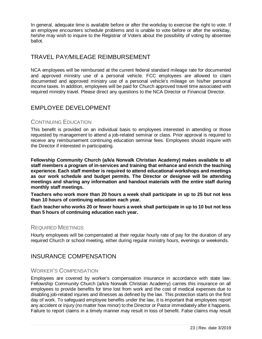In general, adequate time is available before or after the workday to exercise the right to vote. If an employee encounters schedule problems and is unable to vote before or after the workday, he/she may wish to inquire to the Registrar of Voters about the possibility of voting by absentee ballot.

## <span id="page-23-0"></span>TRAVEL PAY*/*MILEAGE REIMBURSEMENT

NCA employees will be reimbursed at the current federal standard mileage rate for documented and approved ministry use of a personal vehicle. FCC employees are allowed to claim documented and approved ministry use of a personal vehicle's mileage on his/her personal income taxes. In addition, employees will be paid for Church approved travel time associated with required ministry travel. Please direct any questions to the NCA Director or Financial Director.

# <span id="page-23-1"></span>EMPLOYEE DEVELOPMENT

#### CONTINUING EDUCATION

This benefit is provided on an individual basis to employees interested in attending or those requested by management to attend a job-related seminar or class. Prior approval is required to receive any reimbursement continuing education seminar fees. Employees should inquire with the Director if interested in participating.

**Fellowship Community Church (a/k/a Norwalk Christian Academy) makes available to all staff members a program of in-services and training that enhance and enrich the teaching experience. Each staff member is required to attend educational workshops and meetings as our work schedule and budget permits. The Director or designee will be attending meetings and sharing any information and handout materials with the entire staff during monthly staff meetings.**

**Teachers who work more than 20 hours a week shall participate in up to 25 but not less than 10 hours of continuing education each year.**

**Each teacher who works 20 or fewer hours a week shall participate in up to 10 but not less than 5 hours of continuing education each year.**

#### REQUIRED MEETINGS

Hourly employees will be compensated at their regular hourly rate of pay for the duration of any required Church or school meeting, either during regular ministry hours, evenings or weekends.

## <span id="page-23-2"></span>INSURANCE COMPENSATION

#### WORKER'S COMPENSATION

Employees are covered by worker's compensation insurance in accordance with state law. Fellowship Community Church (a/k/a Norwalk Christian Academy) carries this insurance on all employees to provide benefits for time lost from work and the cost of medical expenses due to disabling job-related injuries and illnesses as defined by the law. This protection starts on the first day of work. To safeguard employee benefits under the law, it is important that employees report any accident or injury (no matter how minor) to the Director or Pastor immediately after it happens. Failure to report claims in a timely manner may result in loss of benefit. False claims may result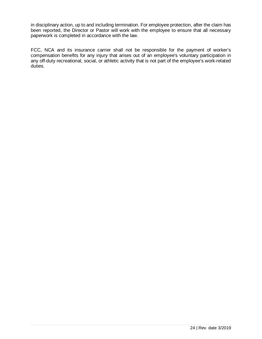in disciplinary action, up to and including termination. For employee protection, after the claim has been reported, the Director or Pastor will work with the employee to ensure that all necessary paperwork is completed in accordance with the law.

FCC, NCA and its insurance carrier shall not be responsible for the payment of worker's compensation benefits for any injury that arises out of an employee's voluntary participation in any off-duty recreational, social, or athletic activity that is not part of the employee's work-related duties.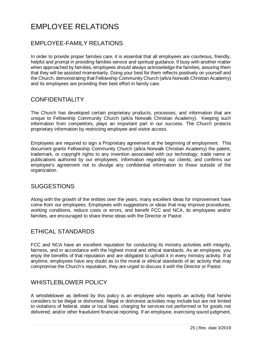# <span id="page-25-0"></span>EMPLOYEE RELATIONS

# <span id="page-25-1"></span>EMPLOYEE-FAMILY RELATIONS

In order to provide proper families care, it is essential that all employees are courteous, friendly, helpful and prompt in providing families service and spiritual guidance. If busy with another matter when approached by families, employees should always acknowledge the families, assuring them that they will be assisted momentarily. Doing your best for them reflects positively on yourself and the Church, demonstrating that Fellowship Community Church (a/k/a Norwalk Christian Academy) and its employees are providing their best effort in family care.

## <span id="page-25-2"></span>CONFIDENTIALITY

The Church has developed certain proprietary products, processes, and information that are unique to Fellowship Community Church (a/k/a Norwalk Christian Academy). Keeping such information from competitors, plays an important part in our success. The Church protects proprietary information by restricting employee and visitor access.

Employees are required to sign a Proprietary agreement at the beginning of employment. This document grants Fellowship Community Church (a/k/a Norwalk Christian Academy) the patent, trademark, or copyright rights to any invention associated with our technology; trade name or publications authored by our employees; information regarding our clients; and confirms our employee's agreement not to divulge any confidential information to those outside of the organization.

### <span id="page-25-3"></span>SUGGESTIONS

Along with the growth of the entities over the years, many excellent ideas for improvement have come from our employees. Employees with suggestions or ideas that may improve procedures, working conditions, reduce costs or errors, and benefit FCC and NCA, its employees and/or families, are encouraged to share these ideas with the Director or Pastor.

## <span id="page-25-4"></span>ETHICAL STANDARDS

FCC and NCA have an excellent reputation for conducting its ministry activities with integrity, fairness, and in accordance with the highest moral and ethical standards. As an employee, you enjoy the benefits of that reputation and are obligated to uphold it in every ministry activity. If at anytime, employees have any doubt as to the moral or ethical standards of an activity that may compromise the Church's reputation, they are urged to discuss it with the Director or Pastor.

## <span id="page-25-5"></span>WHISTLEBLOWER POLICY

A whistleblower as defined by this policy is an employee who reports an activity that he/she considers to be illegal or dishonest. Illegal or dishonest activities may include but are not limited to violations of federal, state or local laws; charging for services not performed or for goods not delivered; and/or other fraudulent financial reporting. If an employee, exercising sound judgment,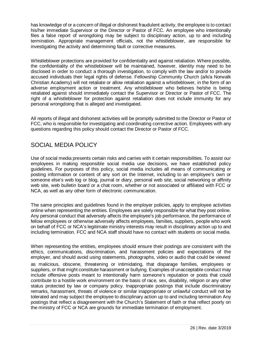has knowledge of or a concern of illegal or dishonest fraudulent activity, the employee is to contact his/her immediate Supervisor or the Director or Pastor of FCC. An employee who intentionally files a false report of wrongdoing may be subject to disciplinary action, up to and including termination. Appropriate management officials, not the whistleblower, are responsible for investigating the activity and determining fault or corrective measures.

Whistleblower protections are provided for confidentiality and against retaliation. Where possible, the confidentiality of the whistleblower will be maintained, however, identity may need to be disclosed in order to conduct a thorough investigation, to comply with the law and/or to provide accused individuals their legal rights of defense. Fellowship Community Church (a/k/a Norwalk Christian Academy) will not retaliate or allow retaliation against a whistleblower, in the form of an adverse employment action or treatment. Any whistleblower who believes he/she is being retaliated against should immediately contact the Supervisor or Director or Pastor of FCC. The right of a whistleblower for protection against retaliation does not include immunity for any personal wrongdoing that is alleged and investigated.

All reports of illegal and dishonest activities will be promptly submitted to the Director or Pastor of FCC, who is responsible for investigating and coordinating corrective action. Employees with any questions regarding this policy should contact the Director or Pastor of FCC.

## <span id="page-26-0"></span>SOCIAL MEDIA POLICY

Use of social media presents certain risks and carries with it certain responsibilities. To assist our employees in making responsible social media use decisions, we have established policy guidelines. For purposes of this policy, social media includes all means of communicating or posting information or content of any sort on the Internet, including to an employee's own or someone else's web log or blog, journal or diary, personal web site, social networking or affinity web site, web bulletin board or a chat room, whether or not associated or affiliated with FCC or NCA, as well as any other form of electronic communication.

The same principles and guidelines found in the employer policies, apply to employee activities online when representing the entities. Employees are solely responsible for what they post online. Any personal conduct that adversely affects the employee's job performance, the performance of fellow employees or otherwise adversely affects employees, families, suppliers, people who work on behalf of FCC or NCA's legitimate ministry interests may result in disciplinary action up to and including termination. FCC and NCA staff should have no contact with students on social media.

When representing the entities, employees should ensure their postings are consistent with the ethics, communications, discrimination, and harassment policies and expectations of the employer, and should avoid using statements, photographs, video or audio that could be viewed

as malicious, obscene, threatening or intimidating, that disparage families, employees or suppliers, or that might constitute harassment or bullying. Examples of unacceptable conduct may include offensive posts meant to intentionally harm someone's reputation or posts that could contribute to a hostile work environment on the basis of race, sex, disability, religion or any other status protected by law or company policy. Inappropriate postings that include discriminatory remarks, harassment, threats of violence or similar inappropriate or unlawful conduct will not be tolerated and may subject the employee to disciplinary action up to and including termination Any postings that reflect a disagreement with the Church's Statement of faith or that reflect poorly on the ministry of FCC or NCA are grounds for immediate termination of employment.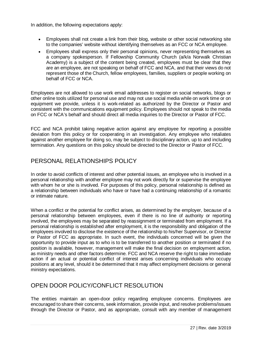In addition, the following expectations apply:

- Employees shall not create a link from their blog, website or other social networking site to the companies' website without identifying themselves as an FCC or NCA employee.
- Employees shall express only their personal opinions, never representing themselves as a company spokesperson. If Fellowship Community Church (a/k/a Norwalk Christian Academy) is a subject of the content being created, employees must be clear that they are an employee, are not speaking on behalf of FCC and NCA, and that their views do not represent those of the Church, fellow employees, families, suppliers or people working on behalf of FCC or NCA.

Employees are not allowed to use work email addresses to register on social networks, blogs or other online tools utilized for personal use and may not use social media while on work time or on equipment we provide, unless it is work-related as authorized by the Director or Pastor and consistent with the communications equipment policy. Employees should not speak to the media on FCC or NCA's behalf and should direct all media inquiries to the Director or Pastor of FCC.

FCC and NCA prohibit taking negative action against any employee for reporting a possible deviation from this policy or for cooperating in an investigation. Any employee who retaliates against another employee for doing so, may be subject to disciplinary action, up to and including termination. Any questions on this policy should be directed to the Director or Pastor of FCC.

# <span id="page-27-0"></span>PERSONAL RELATIONSHIPS POLICY

In order to avoid conflicts of interest and other potential issues, an employee who is involved in a personal relationship with another employee may not work directly for or supervise the employee with whom he or she is involved. For purposes of this policy, personal relationship is defined as a relationship between individuals who have or have had a continuing relationship of a romantic or intimate nature.

When a conflict or the potential for conflict arises, as determined by the employer, because of a personal relationship between employees, even if there is no line of authority or reporting involved, the employees may be separated by reassignment or terminated from employment. If a personal relationship is established after employment, it is the responsibility and obligation of the employees involved to disclose the existence of the relationship to his/her Supervisor, or Director or Pastor of FCC as appropriate. In such event, the individuals concerned will be given the opportunity to provide input as to who is to be transferred to another position or terminated if no position is available, however, management will make the final decision on employment action, as ministry needs and other factors determine. FCC and NCA reserve the right to take immediate action if an actual or potential conflict of interest arises concerning individuals who occupy positions at any level, should it be determined that it may affect employment decisions or general ministry expectations.

## <span id="page-27-1"></span>OPEN DOOR POLICY/CONFLICT RESOLUTION

The entities maintain an open-door policy regarding employee concerns. Employees are encouraged to share their concerns, seek information, provide input, and resolve problems/issues through the Director or Pastor, and as appropriate, consult with any member of management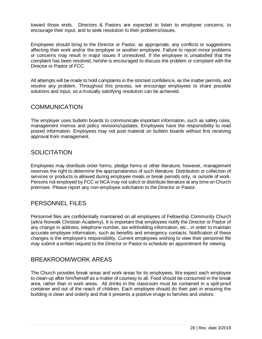toward those ends. Directors & Pastors are expected to listen to employee concerns, to encourage their input, and to seek resolution to their problems/issues.

Employees should bring to the Director or Pastor, as appropriate, any conflicts or suggestions affecting their work and/or the employer or another employee. Failure to report minor problems or concerns may result in major issues if unresolved. If the employee is unsatisfied that the complaint has been resolved, he/she is encouraged to discuss the problem or complaint with the Director or Pastor of FCC.

All attempts will be made to hold complaints in the strictest confidence, as the matter permits, and resolve any problem. Throughout this process, we encourage employees to share possible solutions and input, so a mutually satisfying resolution can be achieved.

#### <span id="page-28-0"></span>**COMMUNICATION**

The employer uses bulletin boards to communicate important information, such as safety rules, management memos and policy revisions/updates. Employees have the responsibility to read posted information. Employees may not post material on bulletin boards without first receiving approval from management.

### <span id="page-28-1"></span>**SOLICITATION**

Employees may distribute order forms, pledge forms or other literature, however, management reserves the right to determine the appropriateness of such literature. Distribution or collection of services or products is allowed during employee meals or break periods only, or outside of work. Persons not employed by FCC or NCA may not solicit or distribute literature at any time on Church premises. Please report any non-employee solicitation to the Director or Pastor.

### <span id="page-28-2"></span>PERSONNEL FILES

Personnel files are confidentially maintained on all employees of Fellowship Community Church (a/k/a Norwalk Christian Academy). It is important that employees notify the Director or Pastor of any change in address, telephone number, tax withholding information, etc., in order to maintain accurate employee information, such as benefits and emergency contacts. Notification of these changes is the employee's responsibility. Current employees wishing to view their personnel file may submit a written request to the Director or Pastor to schedule an appointment for viewing.

### <span id="page-28-3"></span>BREAKROOM/WORK AREAS

The Church provides break areas and work areas for its employees. We expect each employee to clean-up after him/herself as a matter of courtesy to all. Food should be consumed in the break area, rather than in work areas. All drinks in the classroom must be contained in a spill-proof container and out of the reach of children. Each employee should do their part in ensuring the building is clean and orderly and that it presents a positive image to families and visitors.